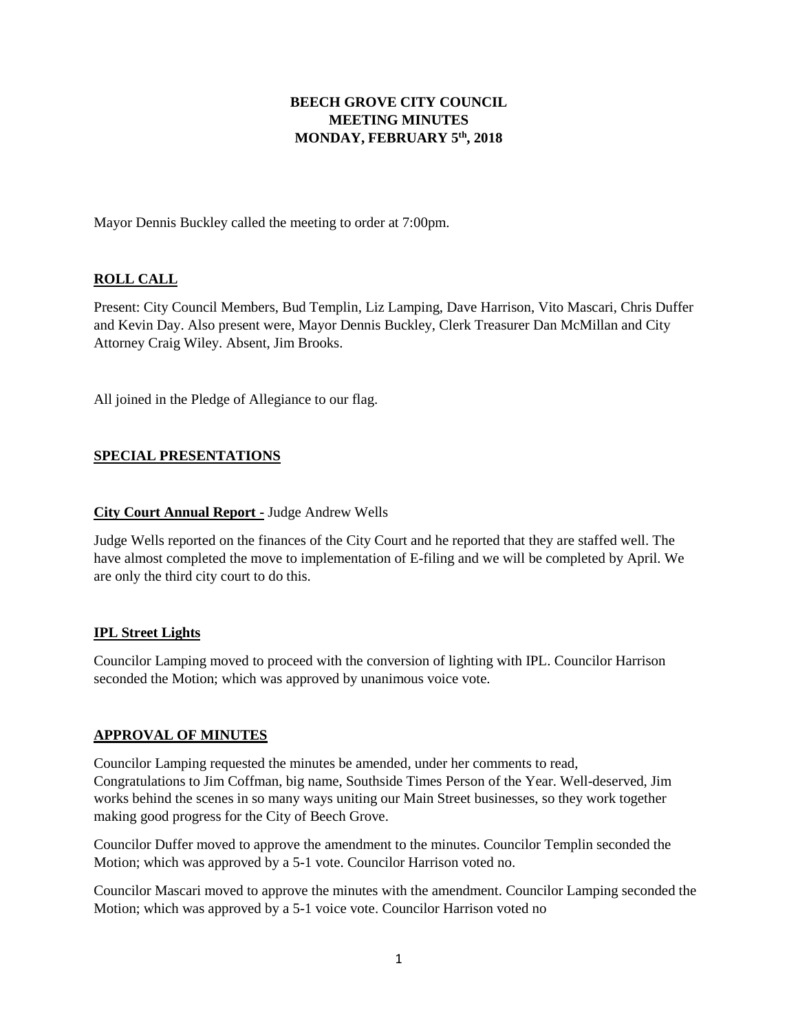# **BEECH GROVE CITY COUNCIL MEETING MINUTES MONDAY, FEBRUARY 5th, 2018**

Mayor Dennis Buckley called the meeting to order at 7:00pm.

# **ROLL CALL**

Present: City Council Members, Bud Templin, Liz Lamping, Dave Harrison, Vito Mascari, Chris Duffer and Kevin Day. Also present were, Mayor Dennis Buckley, Clerk Treasurer Dan McMillan and City Attorney Craig Wiley. Absent, Jim Brooks.

All joined in the Pledge of Allegiance to our flag.

## **SPECIAL PRESENTATIONS**

### **City Court Annual Report -** Judge Andrew Wells

Judge Wells reported on the finances of the City Court and he reported that they are staffed well. The have almost completed the move to implementation of E-filing and we will be completed by April. We are only the third city court to do this.

#### **IPL Street Lights**

Councilor Lamping moved to proceed with the conversion of lighting with IPL. Councilor Harrison seconded the Motion; which was approved by unanimous voice vote.

## **APPROVAL OF MINUTES**

Councilor Lamping requested the minutes be amended, under her comments to read, Congratulations to Jim Coffman, big name, Southside Times Person of the Year. Well-deserved, Jim works behind the scenes in so many ways uniting our Main Street businesses, so they work together making good progress for the City of Beech Grove.

Councilor Duffer moved to approve the amendment to the minutes. Councilor Templin seconded the Motion; which was approved by a 5-1 vote. Councilor Harrison voted no.

Councilor Mascari moved to approve the minutes with the amendment. Councilor Lamping seconded the Motion; which was approved by a 5-1 voice vote. Councilor Harrison voted no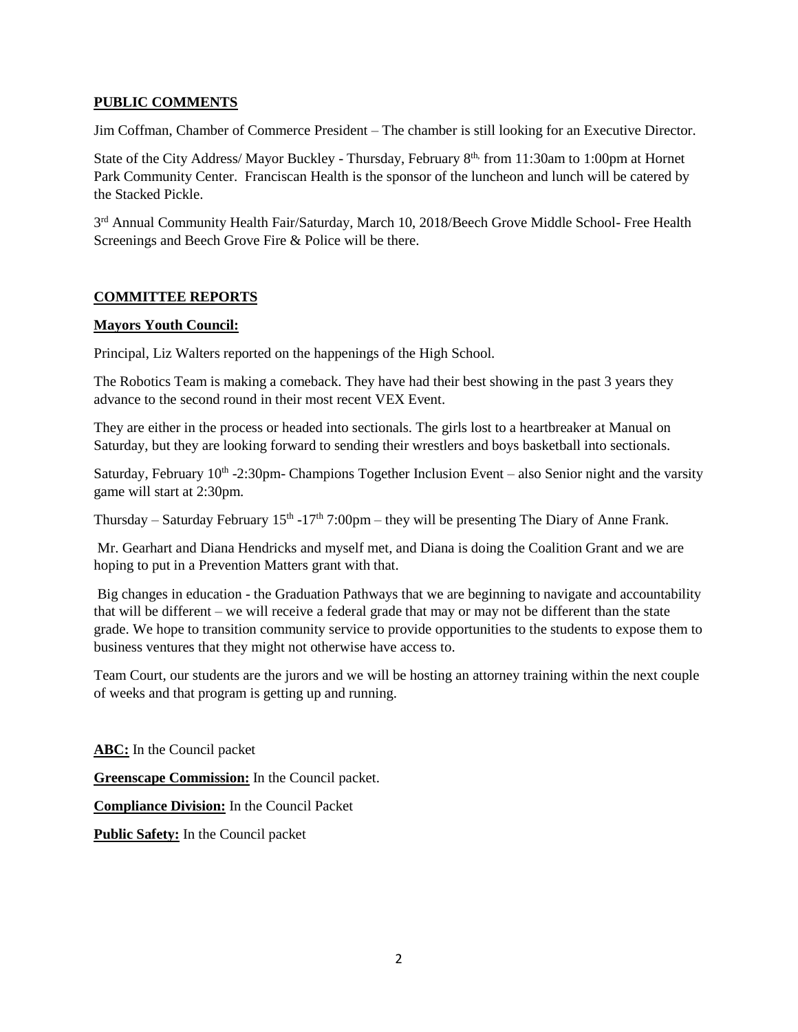## **PUBLIC COMMENTS**

Jim Coffman, Chamber of Commerce President – The chamber is still looking for an Executive Director.

State of the City Address/ Mayor Buckley - Thursday, February 8<sup>th,</sup> from 11:30am to 1:00pm at Hornet Park Community Center. Franciscan Health is the sponsor of the luncheon and lunch will be catered by the Stacked Pickle.

3<sup>rd</sup> Annual Community Health Fair/Saturday, March 10, 2018/Beech Grove Middle School- Free Health Screenings and Beech Grove Fire & Police will be there.

# **COMMITTEE REPORTS**

## **Mayors Youth Council:**

Principal, Liz Walters reported on the happenings of the High School.

The Robotics Team is making a comeback. They have had their best showing in the past 3 years they advance to the second round in their most recent VEX Event.

They are either in the process or headed into sectionals. The girls lost to a heartbreaker at Manual on Saturday, but they are looking forward to sending their wrestlers and boys basketball into sectionals.

Saturday, February 10<sup>th</sup> -2:30pm- Champions Together Inclusion Event – also Senior night and the varsity game will start at 2:30pm.

Thursday – Saturday February  $15<sup>th</sup> - 17<sup>th</sup>$  7:00pm – they will be presenting The Diary of Anne Frank.

Mr. Gearhart and Diana Hendricks and myself met, and Diana is doing the Coalition Grant and we are hoping to put in a Prevention Matters grant with that.

Big changes in education - the Graduation Pathways that we are beginning to navigate and accountability that will be different – we will receive a federal grade that may or may not be different than the state grade. We hope to transition community service to provide opportunities to the students to expose them to business ventures that they might not otherwise have access to.

Team Court, our students are the jurors and we will be hosting an attorney training within the next couple of weeks and that program is getting up and running.

**ABC:** In the Council packet

**Greenscape Commission:** In the Council packet.

**Compliance Division:** In the Council Packet

**Public Safety:** In the Council packet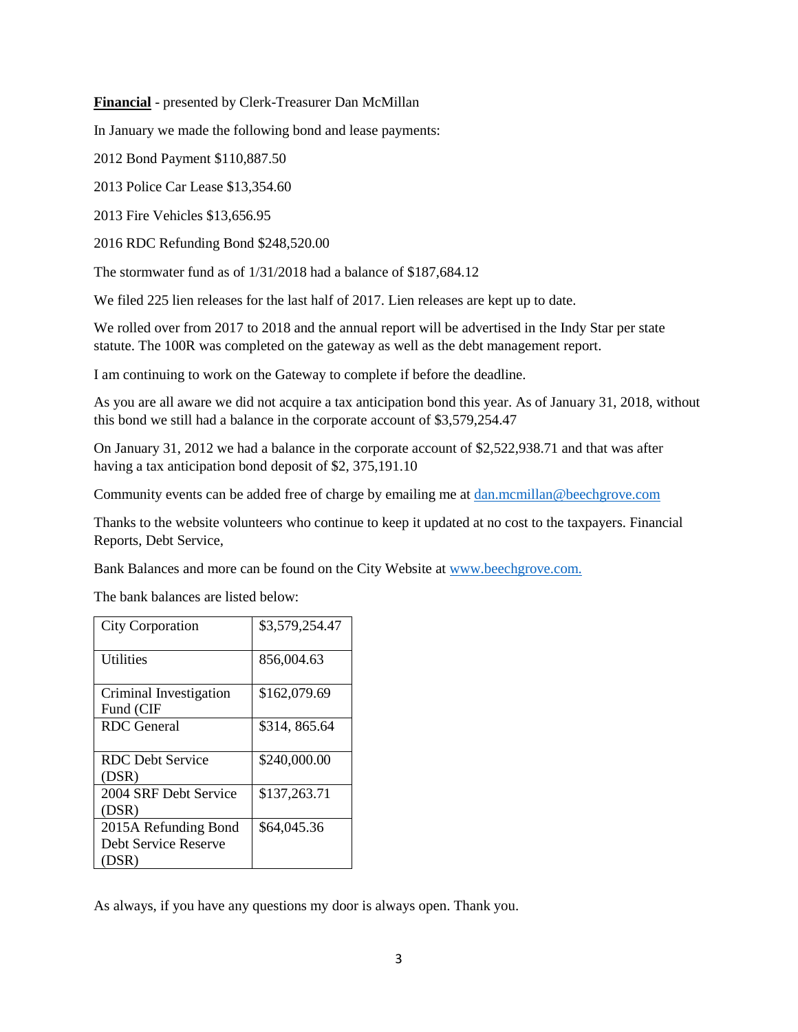**Financial** - presented by Clerk-Treasurer Dan McMillan

In January we made the following bond and lease payments:

2012 Bond Payment \$110,887.50

2013 Police Car Lease \$13,354.60

2013 Fire Vehicles \$13,656.95

2016 RDC Refunding Bond \$248,520.00

The stormwater fund as of 1/31/2018 had a balance of \$187,684.12

We filed 225 lien releases for the last half of 2017. Lien releases are kept up to date.

We rolled over from 2017 to 2018 and the annual report will be advertised in the Indy Star per state statute. The 100R was completed on the gateway as well as the debt management report.

I am continuing to work on the Gateway to complete if before the deadline.

As you are all aware we did not acquire a tax anticipation bond this year. As of January 31, 2018, without this bond we still had a balance in the corporate account of \$3,579,254.47

On January 31, 2012 we had a balance in the corporate account of \$2,522,938.71 and that was after having a tax anticipation bond deposit of \$2, 375,191.10

Community events can be added free of charge by emailing me at [dan.mcmillan@beechgrove.com](mailto:dan.mcmillan@beechgrove.com)

Thanks to the website volunteers who continue to keep it updated at no cost to the taxpayers. Financial Reports, Debt Service,

Bank Balances and more can be found on the City Website at [www.beechgrove.com.](file:///C:/Users/dan/Documents/www.beechgrove.com)

The bank balances are listed below:

| <b>City Corporation</b>                               | \$3,579,254.47 |
|-------------------------------------------------------|----------------|
| Utilities                                             | 856,004.63     |
| Criminal Investigation<br>Fund (CIF                   | \$162,079.69   |
| RDC General                                           | \$314, 865.64  |
| <b>RDC</b> Debt Service<br>(DSR)                      | \$240,000.00   |
| 2004 SRF Debt Service<br>(DSR)                        | \$137,263.71   |
| 2015A Refunding Bond<br>Debt Service Reserve<br>(DSR) | \$64,045.36    |

As always, if you have any questions my door is always open. Thank you.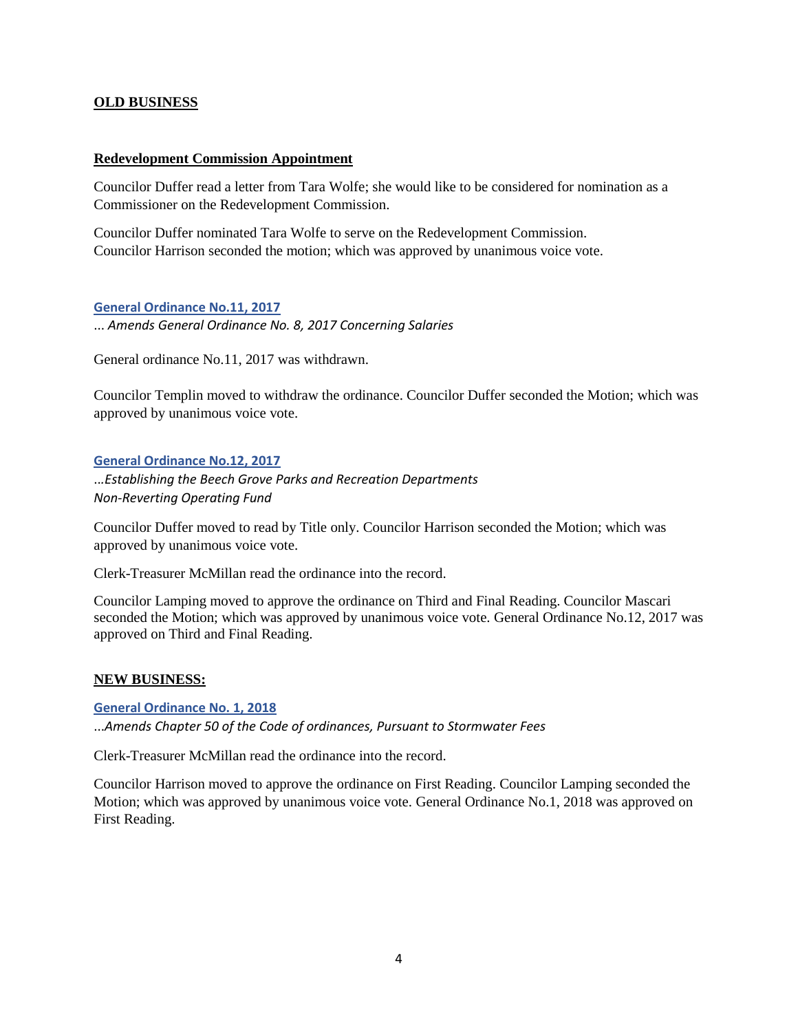## **OLD BUSINESS**

### **Redevelopment Commission Appointment**

Councilor Duffer read a letter from Tara Wolfe; she would like to be considered for nomination as a Commissioner on the Redevelopment Commission.

Councilor Duffer nominated Tara Wolfe to serve on the Redevelopment Commission. Councilor Harrison seconded the motion; which was approved by unanimous voice vote.

### **[General Ordinance No.11, 2017](http://www.beechgrove.com/uploads/1/0/1/2/10129925/general_ordinance_11_2017.pdf)**

... *Amends General Ordinance No. 8, 2017 Concerning Salaries*

General ordinance No.11, 2017 was withdrawn.

Councilor Templin moved to withdraw the ordinance. Councilor Duffer seconded the Motion; which was approved by unanimous voice vote.

### **[General Ordinance No.12, 2017](http://www.beechgrove.com/uploads/1/0/1/2/10129925/general_ordinance_no.12_2017.pdf)**

..*.Establishing the Beech Grove Parks and Recreation Departments Non-Reverting Operating Fund*

Councilor Duffer moved to read by Title only. Councilor Harrison seconded the Motion; which was approved by unanimous voice vote.

Clerk-Treasurer McMillan read the ordinance into the record.

Councilor Lamping moved to approve the ordinance on Third and Final Reading. Councilor Mascari seconded the Motion; which was approved by unanimous voice vote. General Ordinance No.12, 2017 was approved on Third and Final Reading.

## **NEW BUSINESS:**

**[General Ordinance No. 1, 2018](http://www.beechgrove.com/uploads/1/0/1/2/10129925/genera_ordinance_no.1_2018_amends_chapter_50_sewer_fees.pdf)** ...*Amends Chapter 50 of the Code of ordinances, Pursuant to Stormwater Fees*

Clerk-Treasurer McMillan read the ordinance into the record.

Councilor Harrison moved to approve the ordinance on First Reading. Councilor Lamping seconded the Motion; which was approved by unanimous voice vote. General Ordinance No.1, 2018 was approved on First Reading.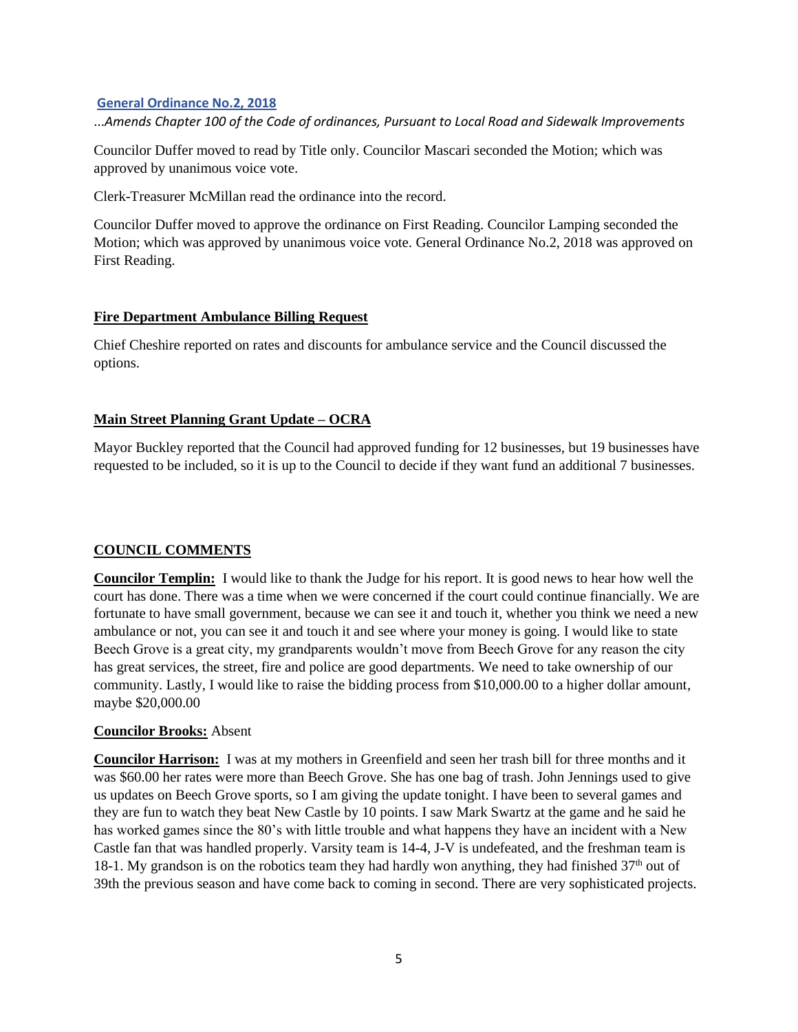## **[General Ordinance No.2, 2018](http://www.beechgrove.com/uploads/1/0/1/2/10129925/general_ordinance_no.2_2018_amend_chapter_100.pdf)**

...*Amends Chapter 100 of the Code of ordinances, Pursuant to Local Road and Sidewalk Improvements*

Councilor Duffer moved to read by Title only. Councilor Mascari seconded the Motion; which was approved by unanimous voice vote.

Clerk-Treasurer McMillan read the ordinance into the record.

Councilor Duffer moved to approve the ordinance on First Reading. Councilor Lamping seconded the Motion; which was approved by unanimous voice vote. General Ordinance No.2, 2018 was approved on First Reading.

### **Fire Department Ambulance Billing Request**

Chief Cheshire reported on rates and discounts for ambulance service and the Council discussed the options.

## **Main Street Planning Grant Update – OCRA**

Mayor Buckley reported that the Council had approved funding for 12 businesses, but 19 businesses have requested to be included, so it is up to the Council to decide if they want fund an additional 7 businesses.

## **COUNCIL COMMENTS**

**Councilor Templin:** I would like to thank the Judge for his report. It is good news to hear how well the court has done. There was a time when we were concerned if the court could continue financially. We are fortunate to have small government, because we can see it and touch it, whether you think we need a new ambulance or not, you can see it and touch it and see where your money is going. I would like to state Beech Grove is a great city, my grandparents wouldn't move from Beech Grove for any reason the city has great services, the street, fire and police are good departments. We need to take ownership of our community. Lastly, I would like to raise the bidding process from \$10,000.00 to a higher dollar amount, maybe \$20,000.00

#### **Councilor Brooks:** Absent

**Councilor Harrison:** I was at my mothers in Greenfield and seen her trash bill for three months and it was \$60.00 her rates were more than Beech Grove. She has one bag of trash. John Jennings used to give us updates on Beech Grove sports, so I am giving the update tonight. I have been to several games and they are fun to watch they beat New Castle by 10 points. I saw Mark Swartz at the game and he said he has worked games since the 80's with little trouble and what happens they have an incident with a New Castle fan that was handled properly. Varsity team is 14-4, J-V is undefeated, and the freshman team is 18-1. My grandson is on the robotics team they had hardly won anything, they had finished  $37<sup>th</sup>$  out of 39th the previous season and have come back to coming in second. There are very sophisticated projects.